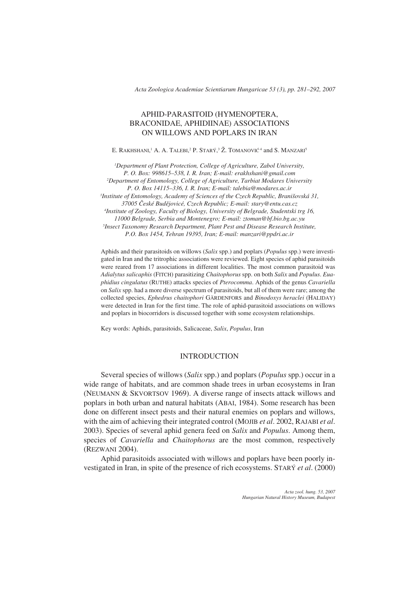*Acta Zoologica Academiae Scientiarum Hungaricae 53 (3), pp. 281–292, 2007*

# APHID-PARASITOID (HYMENOPTERA, BRACONIDAE, APHIDIINAE) ASSOCIATIONS ON WILLOWS AND POPLARS IN IRAN

E. RAKHSHANI,<sup>1</sup> A. A. TALEBI,<sup>2</sup> P. Starý,<sup>3</sup> Ž. Tomanović<sup>4</sup> and S. Manzari<sup>s</sup>

*1 Department of Plant Protection, College of Agriculture, Zabol University, P. O. Box: 998615–538, I. R. Iran; E-mail: erakhshani@gmail.com 2 Department of Entomology, College of Agriculture, Tarbiat Modares University P. O. Box 14115–336, I. R. Iran; E-mail: talebia@modares.ac.ir 3 Institute of Entomology, Academy of Sciences of the Czech Republic, Branišovská 31, 37005 České Budějovicé, Czech Republic; E-mail: stary@entu.cas.cz 4 Institute of Zoology, Faculty of Biology, University of Belgrade, Studentski trg 16, 11000 Belgrade, Serbia and Montenegro; E-mail: ztoman@bf.bio.bg.ac.yu 5 Insect Taxonomy Research Department, Plant Pest and Disease Research Institute, P.O. Box 1454, Tehran 19395, Iran; E-mail: manzari@ppdri.ac.ir*

Aphids and their parasitoids on willows (*Salix* spp.) and poplars (*Populus* spp.) were investigated in Iran and the tritrophic associations were reviewed. Eight species of aphid parasitoids were reared from 17 associations in different localities. The most common parasitoid was *Adialytus salicaphis* (FITCH) parasitizing *Chaitophorus* spp. on both *Salix* and *Populus*. *Euaphidius cingulatus* (RUTHE) attacks species of *Pterocomma*. Aphids of the genus *Cavariella* on *Salix* spp. had a more diverse spectrum of parasitoids, but all of them were rare; among the collected species, *Ephedrus chaitophori* GÄRDENFORS and *Binodoxys heraclei* (HALIDAY) were detected in Iran for the first time. The role of aphid-parasitoid associations on willows and poplars in biocorridors is discussed together with some ecosystem relationships.

Key words: Aphids, parasitoids, Salicaceae, *Salix*, *Populus*, Iran

#### INTRODUCTION

Several species of willows (*Salix* spp.) and poplars (*Populus* spp.) occur in a wide range of habitats, and are common shade trees in urban ecosystems in Iran (NEUMANN & SKVORTSOV 1969). A diverse range of insects attack willows and poplars in both urban and natural habitats (ABAI, 1984). Some research has been done on different insect pests and their natural enemies on poplars and willows, with the aim of achieving their integrated control (MOJIB *et al*. 2002, RAJABI *et al*. 2003). Species of several aphid genera feed on *Salix* and *Populus*. Among them, species of *Cavariella* and *Chaitophorus* are the most common, respectively (REZWANI 2004).

Aphid parasitoids associated with willows and poplars have been poorly investigated in Iran, in spite of the presence of rich ecosystems. STARÝ *et al*. (2000)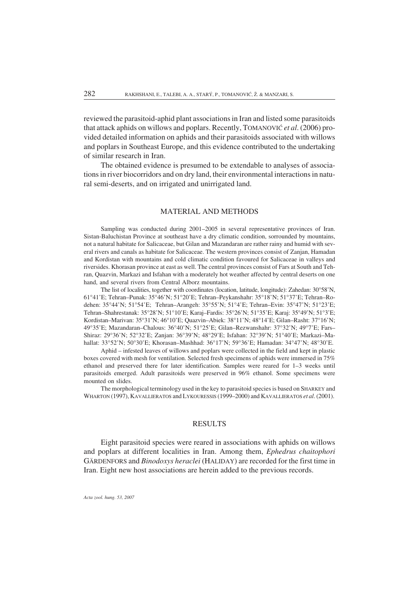reviewed the parasitoid-aphid plant associations in Iran and listed some parasitoids that attack aphids on willows and poplars. Recently, TOMANOVIĆ *et al*. (2006) provided detailed information on aphids and their parasitoids associated with willows and poplars in Southeast Europe, and this evidence contributed to the undertaking of similar research in Iran.

The obtained evidence is presumed to be extendable to analyses of associations in river biocorridors and on dry land, their environmental interactions in natural semi-deserts, and on irrigated and unirrigated land.

#### MATERIAL AND METHODS

Sampling was conducted during 2001–2005 in several representative provinces of Iran. Sistan-Baluchistan Province at southeast have a dry climatic condition, sorrounded by mountains, not a natural habitate for Salicaceae, but Gilan and Mazandaran are rather rainy and humid with several rivers and canals as habitate for Salicaceae. The western provinces consist of Zanjan, Hamadan and Kordistan with mountains and cold climatic condition favoured for Salicaceae in valleys and riversides. Khorasan province at east as well. The central provinces consist of Fars at South and Tehran, Quazvin, Markazi and Isfahan with a moderately hot weather affected by central deserts on one hand, and several rivers from Central Alborz mountains.

The list of localities, together with coordinates (location, latitude, longitude): Zahedan: 30°58'N, 61°41'E; Tehran–Punak: 35°46'N; 51°20'E; Tehran–Peykanshahr: 35°18'N; 51°37'E; Tehran–Rodehen: 35°44'N; 51°54'E; Tehran–Arangeh: 35°55'N; 51°4'E; Tehran–Evin: 35°47'N; 51°23'E; Tehran–Shahrestanak: 35°28'N; 51°10'E; Karaj–Fardis: 35°26'N; 51°35'E; Karaj: 35°49'N; 51°3'E; Kordistan–Marivan: 35°31'N; 46°10'E; Quazvin–Abiek: 38°11'N; 48°14'E; Gilan–Rasht: 37°16'N; 49°35'E; Mazandaran–Chalous: 36°40'N; 51°25'E; Gilan–Rezwanshahr: 37°32'N; 49°7'E; Fars– Shiraz: 29°36'N; 52°32'E; Zanjan: 36°39'N; 48°29'E; Isfahan: 32°39'N; 51°40'E; Markazi–Mahallat: 33°52'N; 50°30'E; Khorasan–Mashhad: 36°17'N; 59°36'E; Hamadan: 34°47'N; 48°30'E.

Aphid – infested leaves of willows and poplars were collected in the field and kept in plastic boxes covered with mesh for ventilation. Selected fresh specimens of aphids were immersed in 75% ethanol and preserved there for later identification. Samples were reared for 1–3 weeks until parasitoids emerged. Adult parasitoids were preserved in 96% ethanol. Some specimens were mounted on slides.

The morphological terminology used in the key to parasitoid species is based on SHARKEY and WHARTON (1997), KAVALLIERATOS and LYKOURESSIS (1999–2000) and KAVALLIERATOS *et al*. (2001).

#### RESULTS

Eight parasitoid species were reared in associations with aphids on willows and poplars at different localities in Iran. Among them, *Ephedrus chaitophori* GÄRDENFORS and *Binodoxys heraclei* (HALIDAY) are recorded for the first time in Iran. Eight new host associations are herein added to the previous records.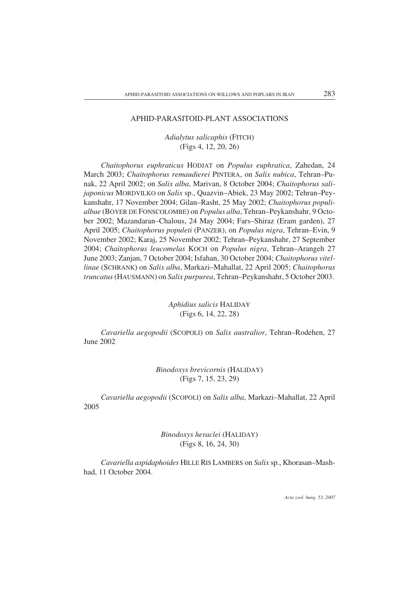### APHID-PARASITOID-PLANT ASSOCIATIONS

*Adialytus salicaphis* (FITCH) (Figs 4, 12, 20, 26)

*Chaitophorus euphraticus* HODJAT on *Populus euphratica*, Zahedan, 24 March 2003; *Chaitophorus remaudierei* PINTERA, on *Salix nubica*, Tehran–Punak, 22 April 2002; on *Salix alba*, Marivan, 8 October 2004; *Chaitophorus salijaponicus* MORDVILKO on *Salix* sp., Quazvin–Abiek, 23 May 2002; Tehran–Peykanshahr, 17 November 2004; Gilan–Rasht, 25 May 2002; *Chaitophorus populialbae* (BOYER DE FONSCOLOMBE) on *Populus alba*, Tehran–Peykanshahr, 9 October 2002; Mazandaran–Chalous, 24 May 2004; Fars–Shiraz (Eram garden), 27 April 2005; *Chaitophorus populeti* (PANZER), on *Populus nigra*, Tehran–Evin, 9 November 2002; Karaj, 25 November 2002; Tehran–Peykanshahr, 27 September 2004; *Chaitophorus leucomelas* KOCH on *Populus nigra*, Tehran–Arangeh 27 June 2003; Zanjan, 7 October 2004; Isfahan, 30 October 2004; *Chaitophorus vitellinae* (SCHRANK) on *Salix alba*, Markazi–Mahallat, 22 April 2005; *Chaitophorus truncatus*(HAUSMANN) on *Salix purpurea*, Tehran–Peykanshahr, 5 October 2003.

> *Aphidius salicis* HALIDAY (Figs 6, 14, 22, 28)

*Cavariella aegopodii* (SCOPOLI) on *Salix australior*, Tehran–Rodehen, 27 June 2002

> *Binodoxys brevicornis* (HALIDAY) (Figs 7, 15, 23, 29)

*Cavariella aegopodii* (SCOPOLI) on *Salix alba*, Markazi–Mahallat, 22 April 2005

> *Binodoxys heraclei* (HALIDAY) (Figs 8, 16, 24, 30)

*Cavariella aspidaphoides* HILLE RIS LAMBERS on *Salix* sp., Khorasan–Mashhad, 11 October 2004.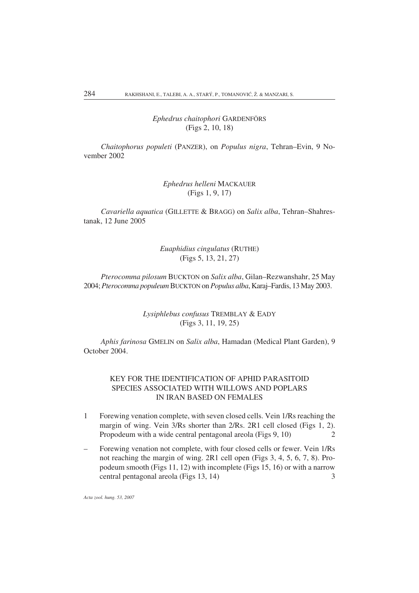# *Ephedrus chaitophori* GARDENFÖRS (Figs 2, 10, 18)

*Chaitophorus populeti* (PANZER), on *Populus nigra*, Tehran–Evin, 9 November 2002

# *Ephedrus helleni* MACKAUER (Figs 1, 9, 17)

*Cavariella aquatica* (GILLETTE & BRAGG) on *Salix alba*, Tehran–Shahrestanak, 12 June 2005

> *Euaphidius cingulatus* (RUTHE) (Figs 5, 13, 21, 27)

*Pterocomma pilosum* BUCKTON on *Salix alba*, Gilan–Rezwanshahr, 25 May 2004;*Pterocomma populeum* BUCKTON on*Populus alba*, Karaj–Fardis, 13 May 2003.

> *Lysiphlebus confusus* TREMBLAY & EADY (Figs 3, 11, 19, 25)

*Aphis farinosa* GMELIN on *Salix alba*, Hamadan (Medical Plant Garden), 9 October 2004.

# KEY FOR THE IDENTIFICATION OF APHID PARASITOID SPECIES ASSOCIATED WITH WILLOWS AND POPLARS IN IRAN BASED ON FEMALES

- 1 Forewing venation complete, with seven closed cells. Vein 1/Rs reaching the margin of wing. Vein 3/Rs shorter than 2/Rs. 2R1 cell closed (Figs 1, 2). Propodeum with a wide central pentagonal areola (Figs 9, 10) 2
- Forewing venation not complete, with four closed cells or fewer. Vein 1/Rs not reaching the margin of wing. 2R1 cell open (Figs 3, 4, 5, 6, 7, 8). Propodeum smooth (Figs 11, 12) with incomplete (Figs 15, 16) or with a narrow central pentagonal areola (Figs 13, 14) 3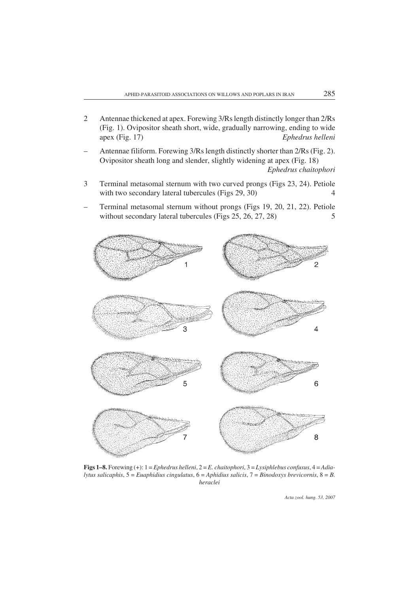- 2 Antennae thickened at apex. Forewing 3/Rs length distinctly longer than 2/Rs (Fig. 1). Ovipositor sheath short, wide, gradually narrowing, ending to wide apex (Fig. 17) *Ephedrus helleni*
- Antennae filiform. Forewing 3/Rs length distinctly shorter than 2/Rs (Fig. 2). Ovipositor sheath long and slender, slightly widening at apex (Fig. 18) *Ephedrus chaitophori*
- 3 Terminal metasomal sternum with two curved prongs (Figs 23, 24). Petiole with two secondary lateral tubercules (Figs 29, 30) 4
- Terminal metasomal sternum without prongs (Figs 19, 20, 21, 22). Petiole without secondary lateral tubercules (Figs 25, 26, 27, 28) 5



Figs  $1-8$ . Forewing  $(+)$ :  $1 = Ephedrus\text{ }helleni$ ,  $2 = E$ . *chaitophori*,  $3 = Lysiphlebus\text{ }configus$ ,  $4 = Adia$ *lytus salicaphis*,5= *Euaphidius cingulatus*,6= *Aphidius salicis*,7= *Binodoxys brevicornis*,8= *B. heraclei*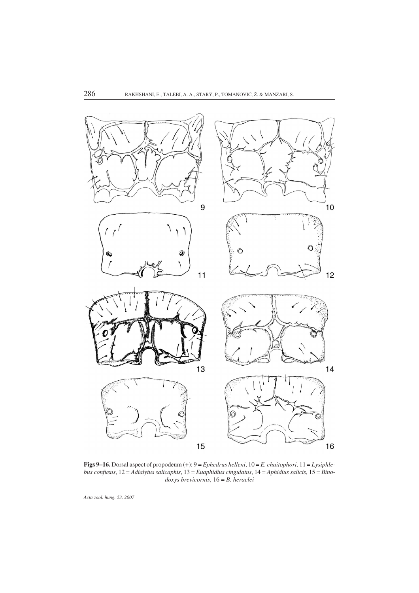

Figs 9–16. Dorsal aspect of propodeum (+): 9 = *Ephedrus helleni*, 10 = *E. chaitophori*, 11 = *Lysiphlebus confusus*, 12 = *Adialytus salicaphis*, 13 = *Euaphidius cingulatus*, 14 = *Aphidius salicis*, 15 = *Binodoxys brevicornis*, 16 = *B. heraclei*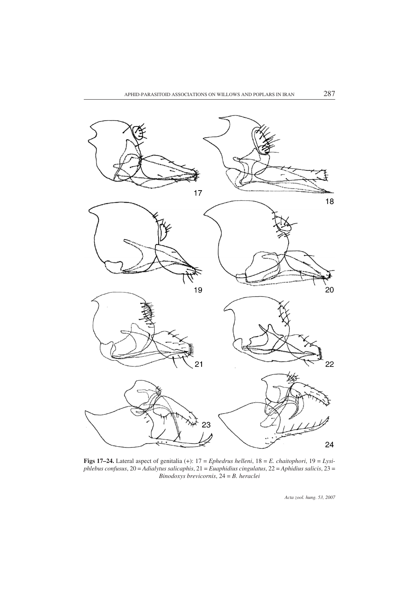

Figs 17–24. Lateral aspect of genitalia (+): 17 = *Ephedrus helleni*, 18 = *E. chaitophori*, 19 = *Lysiphlebus confusus*, 20 = *Adialytus salicaphis*, 21 = *Euaphidius cingulatus*, 22 = *Aphidius salicis*, 23 = *Binodoxys brevicornis*, 24 = *B. heraclei*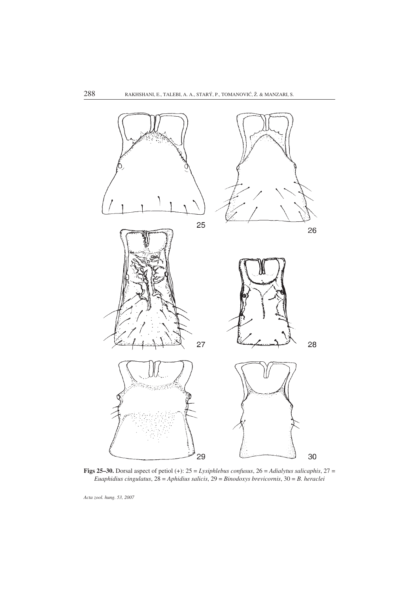

Figs 25–30. Dorsal aspect of petiol (+): 25 = *Lysiphlebus confusus*, 26 = *Adialytus salicaphis*, 27 = *Euaphidius cingulatus*, 28 = *Aphidius salicis*, 29 = *Binodoxys brevicornis*, 30 = *B. heraclei*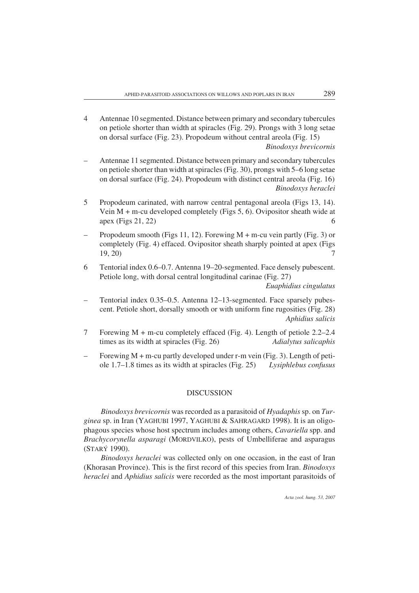4 Antennae 10 segmented. Distance between primary and secondary tubercules on petiole shorter than width at spiracles (Fig. 29). Prongs with 3 long setae on dorsal surface (Fig. 23). Propodeum without central areola (Fig. 15)

*Binodoxys brevicornis*

- Antennae 11 segmented. Distance between primary and secondary tubercules on petiole shorter than width at spiracles (Fig. 30), prongs with 5–6 long setae on dorsal surface (Fig. 24). Propodeum with distinct central areola (Fig. 16) *Binodoxys heraclei*
- 5 Propodeum carinated, with narrow central pentagonal areola (Figs 13, 14). Vein  $M + m$ -cu developed completely (Figs 5, 6). Ovipositor sheath wide at apex (Figs 21, 22)  $\qquad \qquad$  6
- Propodeum smooth (Figs 11, 12). Forewing  $M + m$ -cu vein partly (Fig. 3) or completely (Fig. 4) effaced. Ovipositor sheath sharply pointed at apex (Figs 19, 20) 7
- 6 Tentorial index 0.6–0.7. Antenna 19–20-segmented. Face densely pubescent. Petiole long, with dorsal central longitudinal carinae (Fig. 27)

*Euaphidius cingulatus*

- Tentorial index 0.35–0.5. Antenna 12–13-segmented. Face sparsely pubescent. Petiole short, dorsally smooth or with uniform fine rugosities (Fig. 28) *Aphidius salicis*
- 7 Forewing M + m-cu completely effaced (Fig. 4). Length of petiole 2.2–2.4 times as its width at spiracles (Fig. 26) *Adialytus salicaphis*
- Forewing  $M + m$ -cu partly developed under r-m vein (Fig. 3). Length of petiole 1.7–1.8 times as its width at spiracles (Fig. 25) *Lysiphlebus confusus*

### DISCUSSION

*Binodoxys brevicornis* was recorded as a parasitoid of *Hyadaphis* sp. on *Turginea* sp. in Iran (YAGHUBI 1997, YAGHUBI & SAHRAGARD 1998). It is an oligophagous species whose host spectrum includes among others, *Cavariella* spp. and *Brachycorynella asparagi* (MORDVILKO), pests of Umbelliferae and asparagus (STARÝ 1990).

*Binodoxys heraclei* was collected only on one occasion, in the east of Iran (Khorasan Province). This is the first record of this species from Iran. *Binodoxys heraclei* and *Aphidius salicis* were recorded as the most important parasitoids of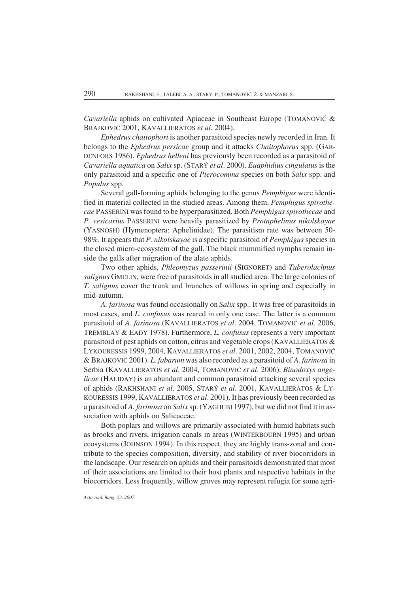*Cavariella* aphids on cultivated Apiaceae in Southeast Europe (TOMANOVIĆ & BRAJKOVIĆ 2001, KAVALLIERATOS *et al*. 2004).

*Ephedrus chaitophori* is another parasitoid species newly recorded in Iran. It belongs to the *Ephedrus persicae* group and it attacks *Chaitophorus* spp. (GÄR-DENFORS 1986). *Ephedrus helleni* has previously been recorded as a parasitoid of *Cavariella aquatica* on *Salix* sp. (STARÝ *et al*. 2000). *Euaphidius cingulatus* is the only parasitoid and a specific one of *Pterocomma* species on both *Salix* spp. and *Populus* spp.

Several gall-forming aphids belonging to the genus *Pemphigus* were identified in material collected in the studied areas. Among them, *Pemphigus spirothecae* PASSERINI was found to be hyperparasitized. Both *Pemphigus spirothecae* and *P. vesicarius* PASSERINI were heavily parasitized by *Protaphelinus nikolskayae* (YASNOSH) (Hymenoptera: Aphelinidae). The parasitism rate was between 50- 98%. It appears that *P. nikolskayae* is a specific parasitoid of *Pemphigus* species in the closed micro-ecosystem of the gall. The black mummified nymphs remain inside the galls after migration of the alate aphids.

Two other aphids, *Phleomyzus passerinii* (SIGNORET) and *Tuberolachnus salignus* GMELIN, were free of parasitoids in all studied area. The large colonies of *T. salignus* cover the trunk and branches of willows in spring and especially in mid-autumn.

*A. farinosa* was found occasionally on *Salix* spp.. It was free of parasitoids in most cases, and *L. confusus* was reared in only one case. The latter is a common parasitoid of *A. farinosa* (KAVALLIERATOS *et al*. 2004, TOMANOVIĆ *et al*. 2006, TREMBLAY & EADY 1978). Furthermore, *L. confusus* represents a very important parasitoid of pest aphids on cotton, citrus and vegetable crops (KAVALLIERATOS & LYKOURESSIS 1999, 2004, KAVALLIERATOS *et al*. 2001, 2002, 2004, TOMANOVIĆ & BRAJKOVIĆ 2001). *L. fabarum* was also recorded as a parasitoid of *A. farinosa* in Serbia (KAVALLIERATOS *et al*. 2004, TOMANOVIĆ *et al*. 2006). *Binodoxys angelicae* (HALIDAY) is an abundant and common parasitoid attacking several species of aphids (RAKHSHANI *et al*. 2005, STARÝ *et al*. 2001, KAVALLIERATOS & LY-KOURESSIS 1999, KAVALLIERATOS *et al*. 2001). It has previously been recorded as a parasitoid of *A. farinosa* on *Salix* sp. (YAGHUBI 1997), but we did not find it in association with aphids on Salicaceae.

Both poplars and willows are primarily associated with humid habitats such as brooks and rivers, irrigation canals in areas (WINTERBOURN 1995) and urban ecosystems (JOHNSON 1994). In this respect, they are highly trans-zonal and contribute to the species composition, diversity, and stability of river biocorridors in the landscape. Our research on aphids and their parasitoids demonstrated that most of their associations are limited to their host plants and respective habitats in the biocorridors. Less frequently, willow groves may represent refugia for some agri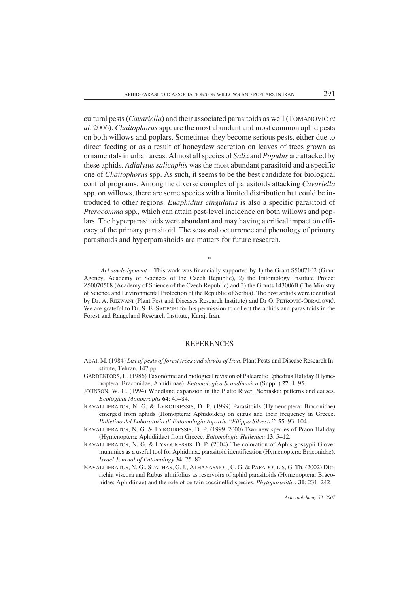cultural pests (*Cavariella*) and their associated parasitoids as well (TOMANOVIĆ *et al*. 2006). *Chaitophorus* spp. are the most abundant and most common aphid pests on both willows and poplars. Sometimes they become serious pests, either due to direct feeding or as a result of honeydew secretion on leaves of trees grown as ornamentals in urban areas. Almost all species of *Salix* and *Populus* are attacked by these aphids. *Adialytus salicaphis* was the most abundant parasitoid and a specific one of *Chaitophorus* spp. As such, it seems to be the best candidate for biological control programs. Among the diverse complex of parasitoids attacking *Cavariella* spp. on willows, there are some species with a limited distribution but could be introduced to other regions. *Euaphidius cingulatus* is also a specific parasitoid of *Pterocomma* spp., which can attain pest-level incidence on both willows and poplars. The hyperparasitoids were abundant and may having a critical impact on efficacy of the primary parasitoid. The seasonal occurrence and phenology of primary parasitoids and hyperparasitoids are matters for future research.

\*

*Acknowledgement* – This work was financially supported by 1) the Grant S5007102 (Grant Agency, Academy of Sciences of the Czech Republic), 2) the Entomology Institute Project Z50070508 (Academy of Science of the Czech Republic) and 3) the Grants 143006B (The Ministry of Science and Environmental Protection of the Republic of Serbia). The host aphids were identified by Dr. A. REZWANI (Plant Pest and Diseases Research Institute) and Dr O. PETROVIĆ-OBRADOVIĆ. We are grateful to Dr. S. E. SADEGHI for his permission to collect the aphids and parasitoids in the Forest and Rangeland Research Institute, Karaj, Iran.

#### REFERENCES

- ABAI, M. (1984) *List of pests of forest trees and shrubs of Iran*. Plant Pests and Disease Research Institute, Tehran, 147 pp.
- GÄRDENFORS, U. (1986) Taxonomic and biological revision of Palearctic Ephedrus Haliday (Hymenoptera: Braconidae, Aphidiinae). *Entomologica Scandinavica* (Suppl.) 27: 1–95.
- JOHNSON, W. C. (1994) Woodland expansion in the Platte River, Nebraska: patterns and causes. *Ecological Monographs* 64: 45–84.
- KAVALLIERATOS, N. G. & LYKOURESSIS, D. P. (1999) Parasitoids (Hymenoptera: Braconidae) emerged from aphids (Homoptera: Aphidoidea) on citrus and their frequency in Greece. *Bolletino del Laboratorio di Entomologia Agraria "Filippo Silvestri"* 55: 93–104.
- KAVALLIERATOS, N. G. & LYKOURESSIS, D. P. (1999–2000) Two new species of Praon Haliday (Hymenoptera: Aphidiidae) from Greece. *Entomologia Hellenica* 13: 5–12.
- KAVALLIERATOS, N. G. & LYKOURESSIS, D. P. (2004) The coloration of Aphis gossypii Glover mummies as a useful tool for Aphidiinae parasitoid identification (Hymenoptera: Braconidae). *Israel Journal of Entomology* 34: 75–82.
- KAVALLIERATOS, N. G., STATHAS, G. J., ATHANASSIOU, C. G. & PAPADOULIS, G. Th. (2002) Dittrichia viscosa and Rubus ulmifolius as reservoirs of aphid parasitoids (Hymenoptera: Braconidae: Aphidiinae) and the role of certain coccinellid species. *Phytoparasitica* 30: 231–242.